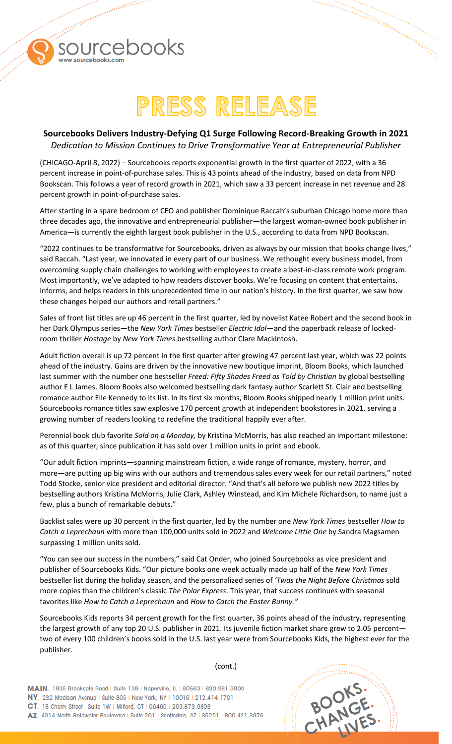

## PRESS RELEASE

**Call Contained States Services** 

## **Sourcebooks Delivers Industry-Defying Q1 Surge Following Record-Breaking Growth in 2021**

*Dedication to Mission Continues to Drive Transformative Year at Entrepreneurial Publisher* 

(CHICAGO-April 8, 2022) – Sourcebooks reports exponential growth in the first quarter of 2022, with a 36 percent increase in point-of-purchase sales. This is 43 points ahead of the industry, based on data from NPD Bookscan. This follows a year of record growth in 2021, which saw a 33 percent increase in net revenue and 28 percent growth in point-of-purchase sales.

After starting in a spare bedroom of CEO and publisher Dominique Raccah's suburban Chicago home more than three decades ago, the innovative and entrepreneurial publisher—the largest woman-owned book publisher in America—is currently the eighth largest book publisher in the U.S., according to data from NPD Bookscan.

"2022 continues to be transformative for Sourcebooks, driven as always by our mission that books change lives," said Raccah. "Last year, we innovated in every part of our business. We rethought every business model, from overcoming supply chain challenges to working with employees to create a best-in-class remote work program. Most importantly, we've adapted to how readers discover books. We're focusing on content that entertains, informs, and helps readers in this unprecedented time in our nation's history. In the first quarter, we saw how these changes helped our authors and retail partners."

Sales of front list titles are up 46 percent in the first quarter, led by novelist Katee Robert and the second book in her Dark Olympus series—the *New York Times* bestseller *Electric Idol—*and the paperback release of lockedroom thriller *Hostage* by *New York Times* bestselling author Clare Mackintosh.

Adult fiction overall is up 72 percent in the first quarter after growing 47 percent last year, which was 22 points ahead of the industry. Gains are driven by the innovative new boutique imprint, Bloom Books, which launched last summer with the number one bestseller *Freed: Fifty Shades Freed as Told by Christian* by global bestselling author E L James. Bloom Books also welcomed bestselling dark fantasy author Scarlett St. Clair and bestselling romance author Elle Kennedy to its list. In its first six months, Bloom Books shipped nearly 1 million print units. Sourcebooks romance titles saw explosive 170 percent growth at independent bookstores in 2021, serving a growing number of readers looking to redefine the traditional happily ever after.

Perennial book club favorite *Sold on a Monday,* by Kristina McMorris, has also reached an important milestone: as of this quarter, since publication it has sold over 1 million units in print and ebook.

"Our adult fiction imprints—spanning mainstream fiction, a wide range of romance, mystery, horror, and more—are putting up big wins with our authors and tremendous sales every week for our retail partners," noted Todd Stocke, senior vice president and editorial director. "And that's all before we publish new 2022 titles by bestselling authors Kristina McMorris, Julie Clark, Ashley Winstead, and Kim Michele Richardson, to name just a few, plus a bunch of remarkable debuts."

Backlist sales were up 30 percent in the first quarter, led by the number one *New York Times* bestseller *How to Catch a Leprechaun* with more than 100,000 units sold in 2022 and *Welcome Little One* by Sandra Magsamen surpassing 1 million units sold.

"You can see our success in the numbers," said Cat Onder, who joined Sourcebooks as vice president and publisher of Sourcebooks Kids. "Our picture books one week actually made up half of the *New York Times* bestseller list during the holiday season, and the personalized series of *'Twas the Night Before Christmas* sold more copies than the children's classic *The Polar Express*. This year, that success continues with seasonal favorites like *How to Catch a Leprechaun* and *How to Catch the Easter Bunny."*

Sourcebooks Kids reports 34 percent growth for the first quarter, 36 points ahead of the industry, representing the largest growth of any top 20 U.S. publisher in 2021. Its juvenile fiction market share grew to 2.05 percent two of every 100 children's books sold in the U.S. last year were from Sourcebooks Kids, the highest ever for the publisher.

MAIN, 1935 Brookdale Road I Suite 139 | Naperville, IL | 60563 | 630.961.3900 NY. 232 Madison Avenue | Suite 805 | New York, NY | 10016 | 212.414.1701 CT. 18 Cherry Street I Suite 1W I Milford, CT I 06460 I 203.873.9803 AZ. 4014 North Goldwater Boulevard | Suite 201 | Scottsdale, AZ | 85251 | 800.421.3976



(cont.)